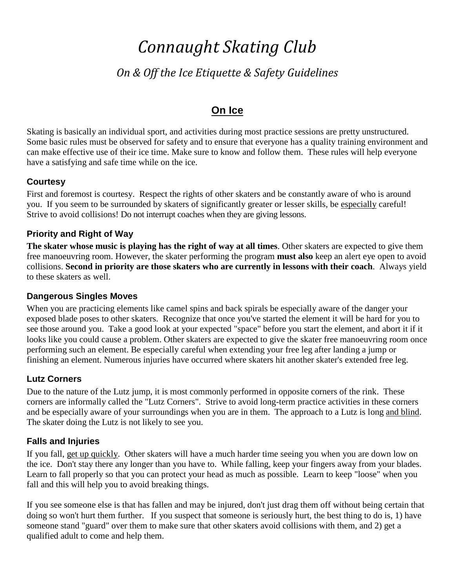# *Connaught Skating Club*

# *On & Off the Ice Etiquette & Safety Guidelines*

# **On Ice**

Skating is basically an individual sport, and activities during most practice sessions are pretty unstructured. Some basic rules must be observed for safety and to ensure that everyone has a quality training environment and can make effective use of their ice time. Make sure to know and follow them. These rules will help everyone have a satisfying and safe time while on the ice.

## **Courtesy**

First and foremost is courtesy. Respect the rights of other skaters and be constantly aware of who is around you. If you seem to be surrounded by skaters of significantly greater or lesser skills, be especially careful! Strive to avoid collisions! Do not interrupt coaches when they are giving lessons.

## **Priority and Right of Way**

**The skater whose music is playing has the right of way at all times**. Other skaters are expected to give them free manoeuvring room. However, the skater performing the program **must also** keep an alert eye open to avoid collisions. **Second in priority are those skaters who are currently in lessons with their coach**. Always yield to these skaters as well.

#### **Dangerous Singles Moves**

When you are practicing elements like camel spins and back spirals be especially aware of the danger your exposed blade poses to other skaters. Recognize that once you've started the element it will be hard for you to see those around you. Take a good look at your expected "space" before you start the element, and abort it if it looks like you could cause a problem. Other skaters are expected to give the skater free manoeuvring room once performing such an element. Be especially careful when extending your free leg after landing a jump or finishing an element. Numerous injuries have occurred where skaters hit another skater's extended free leg.

## **Lutz Corners**

Due to the nature of the Lutz jump, it is most commonly performed in opposite corners of the rink. These corners are informally called the "Lutz Corners". Strive to avoid long-term practice activities in these corners and be especially aware of your surroundings when you are in them. The approach to a Lutz is long and blind. The skater doing the Lutz is not likely to see you.

#### **Falls and Injuries**

If you fall, get up quickly. Other skaters will have a much harder time seeing you when you are down low on the ice. Don't stay there any longer than you have to. While falling, keep your fingers away from your blades. Learn to fall properly so that you can protect your head as much as possible. Learn to keep "loose" when you fall and this will help you to avoid breaking things.

If you see someone else is that has fallen and may be injured, don't just drag them off without being certain that doing so won't hurt them further. If you suspect that someone is seriously hurt, the best thing to do is, 1) have someone stand "guard" over them to make sure that other skaters avoid collisions with them, and 2) get a qualified adult to come and help them.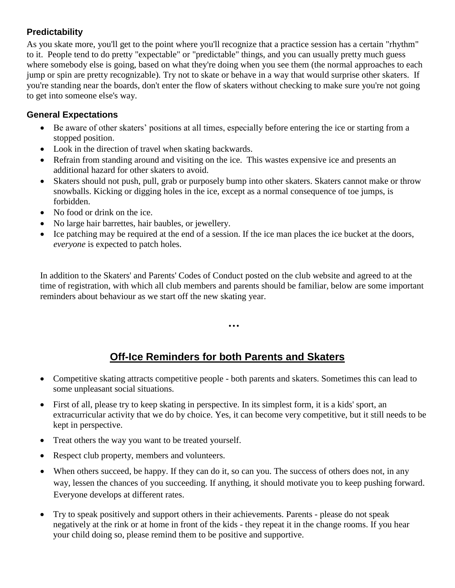### **Predictability**

As you skate more, you'll get to the point where you'll recognize that a practice session has a certain "rhythm" to it. People tend to do pretty "expectable" or "predictable" things, and you can usually pretty much guess where somebody else is going, based on what they're doing when you see them (the normal approaches to each jump or spin are pretty recognizable). Try not to skate or behave in a way that would surprise other skaters. If you're standing near the boards, don't enter the flow of skaters without checking to make sure you're not going to get into someone else's way.

### **General Expectations**

- Be aware of other skaters' positions at all times, especially before entering the ice or starting from a stopped position.
- Look in the direction of travel when skating backwards.
- Refrain from standing around and visiting on the ice. This wastes expensive ice and presents an additional hazard for other skaters to avoid.
- Skaters should not push, pull, grab or purposely bump into other skaters. Skaters cannot make or throw snowballs. Kicking or digging holes in the ice, except as a normal consequence of toe jumps, is forbidden.
- No food or drink on the ice.
- No large hair barrettes, hair baubles, or jewellery.
- Ice patching may be required at the end of a session. If the ice man places the ice bucket at the doors, *everyone* is expected to patch holes.

In addition to the Skaters' and Parents' Codes of Conduct posted on the club website and agreed to at the time of registration, with which all club members and parents should be familiar, below are some important reminders about behaviour as we start off the new skating year.

...

# **Off-Ice Reminders for both Parents and Skaters**

- Competitive skating attracts competitive people both parents and skaters. Sometimes this can lead to some unpleasant social situations.
- First of all, please try to keep skating in perspective. In its simplest form, it is a kids' sport, an extracurricular activity that we do by choice. Yes, it can become very competitive, but it still needs to be kept in perspective.
- Treat others the way you want to be treated yourself.
- Respect club property, members and volunteers.
- When others succeed, be happy. If they can do it, so can you. The success of others does not, in any way, lessen the chances of you succeeding. If anything, it should motivate you to keep pushing forward. Everyone develops at different rates.
- Try to speak positively and support others in their achievements. Parents please do not speak negatively at the rink or at home in front of the kids - they repeat it in the change rooms. If you hear your child doing so, please remind them to be positive and supportive.